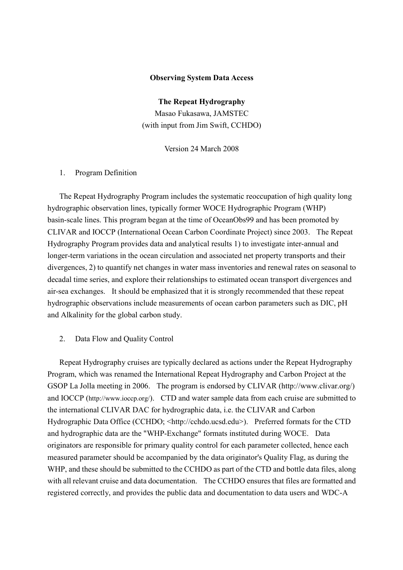## Observing System Data Access

The Repeat Hydrography Masao Fukasawa, JAMSTEC (with input from Jim Swift, CCHDO)

Version 24 March 2008

## 1. Program Definition

The Repeat Hydrography Program includes the systematic reoccupation of high quality long hydrographic observation lines, typically former WOCE Hydrographic Program (WHP) basin-scale lines. This program began at the time of OceanObs99 and has been promoted by CLIVAR and IOCCP (International Ocean Carbon Coordinate Project) since 2003. The Repeat Hydrography Program provides data and analytical results 1) to investigate inter-annual and longer-term variations in the ocean circulation and associated net property transports and their divergences, 2) to quantify net changes in water mass inventories and renewal rates on seasonal to decadal time series, and explore their relationships to estimated ocean transport divergences and air-sea exchanges. It should be emphasized that it is strongly recommended that these repeat hydrographic observations include measurements of ocean carbon parameters such as DIC, pH and Alkalinity for the global carbon study.

## 2. Data Flow and Quality Control

Repeat Hydrography cruises are typically declared as actions under the Repeat Hydrography Program, which was renamed the International Repeat Hydrography and Carbon Project at the GSOP La Jolla meeting in 2006. The program is endorsed by CLIVAR (http://www.clivar.org/) and IOCCP (http://www.ioccp.org/). CTD and water sample data from each cruise are submitted to the international CLIVAR DAC for hydrographic data, i.e. the CLIVAR and Carbon Hydrographic Data Office (CCHDO; <http://cchdo.ucsd.edu>). Preferred formats for the CTD and hydrographic data are the "WHP-Exchange" formats instituted during WOCE. Data originators are responsible for primary quality control for each parameter collected, hence each measured parameter should be accompanied by the data originator's Quality Flag, as during the WHP, and these should be submitted to the CCHDO as part of the CTD and bottle data files, along with all relevant cruise and data documentation. The CCHDO ensures that files are formatted and registered correctly, and provides the public data and documentation to data users and WDC-A